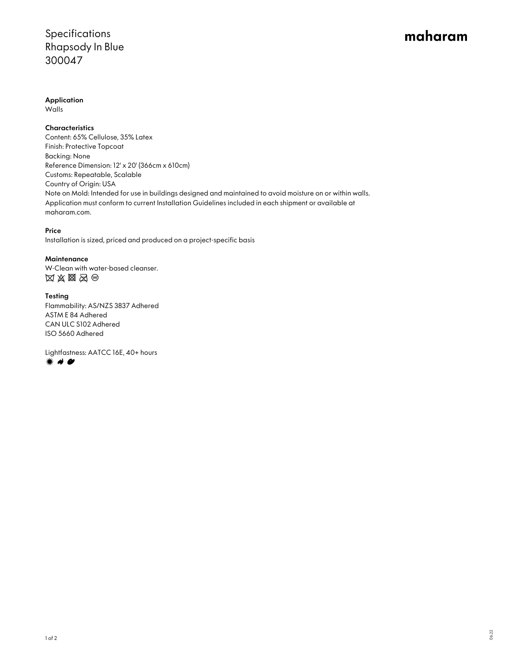# Specifications Rhapsody In Blue 300047

# maharam

Application

Walls

**Characteristics** 

Content: 65% Cellulose, 35% Latex Finish: Protective Topcoat Backing: None Reference Dimension: 12' x 20' (366cm x 610cm) Customs: Repeatable, Scalable Country of Origin: USA Note on Mold: Intended for use in buildings designed and maintained to avoid moisture on or within walls. Application must conform to current Installation Guidelines included in each shipment or available at maharam.com.

### Price

Installation is sized, priced and produced on a project-specific basis

## **Maintenance**

W-Clean with water-based cleanser.  $\boxtimes \boxtimes \boxtimes \boxtimes \odot$ 

### Testing

Flammability: AS/NZS 3837 Adhered ASTM E 84 Adhered CAN ULC S102 Adhered ISO 5660 Adhered

Lightfastness: AATCC 16E, 40+ hours **☀ 〃 ●**